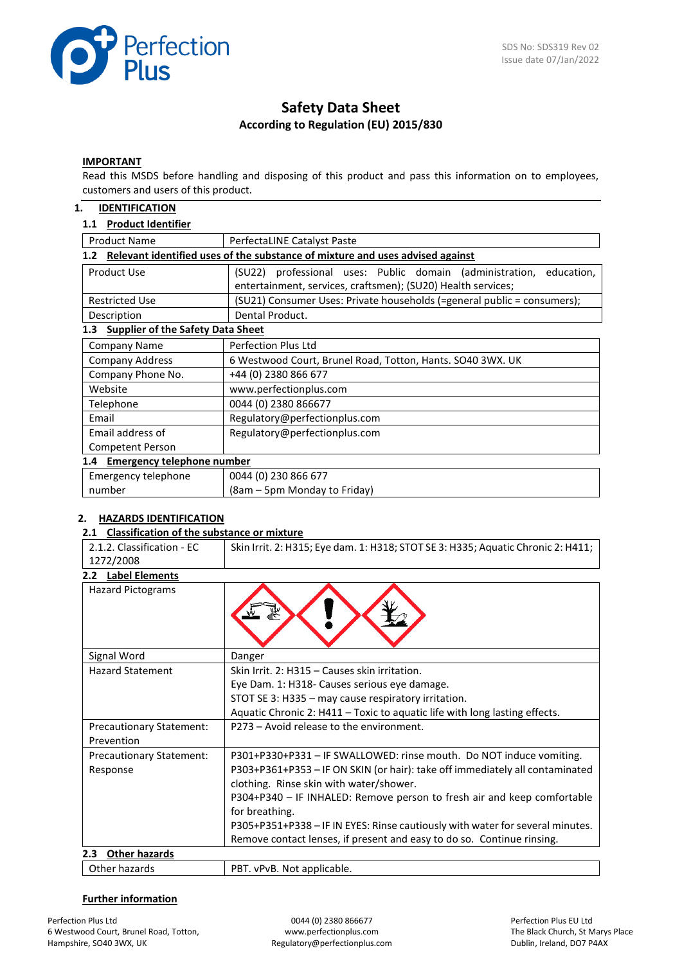

# **Safety Data Sheet According to Regulation (EU) 2015/830**

## **IMPORTANT**

Read this MSDS before handling and disposing of this product and pass this information on to employees, customers and users of this product.

### **1. IDENTIFICATION**

## **1.1 Product Identifier**

| <b>Product Name</b>                                                                               | PerfectaLINE Catalyst Paste                                                                                                            |  |  |  |  |
|---------------------------------------------------------------------------------------------------|----------------------------------------------------------------------------------------------------------------------------------------|--|--|--|--|
| Relevant identified uses of the substance of mixture and uses advised against<br>1.2 <sub>2</sub> |                                                                                                                                        |  |  |  |  |
| Product Use                                                                                       | (SU22) professional uses: Public domain (administration,<br>education,<br>entertainment, services, craftsmen); (SU20) Health services; |  |  |  |  |
| <b>Restricted Use</b>                                                                             | (SU21) Consumer Uses: Private households (=general public = consumers);                                                                |  |  |  |  |
| Description                                                                                       | Dental Product.                                                                                                                        |  |  |  |  |
| <b>Supplier of the Safety Data Sheet</b><br>1.3                                                   |                                                                                                                                        |  |  |  |  |
| <b>Company Name</b>                                                                               | Perfection Plus Ltd                                                                                                                    |  |  |  |  |
| <b>Company Address</b>                                                                            | 6 Westwood Court, Brunel Road, Totton, Hants. SO40 3WX. UK                                                                             |  |  |  |  |
| Company Phone No.                                                                                 | +44 (0) 2380 866 677                                                                                                                   |  |  |  |  |
| Website                                                                                           | www.perfectionplus.com                                                                                                                 |  |  |  |  |
| Telephone                                                                                         | 0044 (0) 2380 866677                                                                                                                   |  |  |  |  |
| Email                                                                                             | Regulatory@perfectionplus.com                                                                                                          |  |  |  |  |
| Email address of                                                                                  | Regulatory@perfectionplus.com                                                                                                          |  |  |  |  |
| Competent Person                                                                                  |                                                                                                                                        |  |  |  |  |
| 1.4 Emergency telephone number                                                                    |                                                                                                                                        |  |  |  |  |
| Emergency telephone                                                                               | 0044 (0) 230 866 677                                                                                                                   |  |  |  |  |
| number                                                                                            | (8am – 5pm Monday to Friday)                                                                                                           |  |  |  |  |

## **2. HAZARDS IDENTIFICATION**

### **2.1 Classification of the substance or mixture**

| 2.1.2. Classification - EC      | Skin Irrit. 2: H315; Eye dam. 1: H318; STOT SE 3: H335; Aquatic Chronic 2: H411; |  |  |
|---------------------------------|----------------------------------------------------------------------------------|--|--|
| 1272/2008                       |                                                                                  |  |  |
| 2.2 Label Elements              |                                                                                  |  |  |
| <b>Hazard Pictograms</b>        |                                                                                  |  |  |
| Signal Word                     | Danger                                                                           |  |  |
| <b>Hazard Statement</b>         | Skin Irrit. 2: H315 - Causes skin irritation.                                    |  |  |
|                                 | Eye Dam. 1: H318- Causes serious eye damage.                                     |  |  |
|                                 | STOT SE 3: H335 - may cause respiratory irritation.                              |  |  |
|                                 | Aquatic Chronic 2: H411 - Toxic to aquatic life with long lasting effects.       |  |  |
| <b>Precautionary Statement:</b> | P273 - Avoid release to the environment.                                         |  |  |
| Prevention                      |                                                                                  |  |  |
| <b>Precautionary Statement:</b> | P301+P330+P331 - IF SWALLOWED: rinse mouth. Do NOT induce vomiting.              |  |  |
| Response                        | P303+P361+P353 - IF ON SKIN (or hair): take off immediately all contaminated     |  |  |
|                                 | clothing. Rinse skin with water/shower.                                          |  |  |
|                                 | P304+P340 - IF INHALED: Remove person to fresh air and keep comfortable          |  |  |
|                                 | for breathing.                                                                   |  |  |
|                                 | P305+P351+P338 - IF IN EYES: Rinse cautiously with water for several minutes.    |  |  |
|                                 | Remove contact lenses, if present and easy to do so. Continue rinsing.           |  |  |
| <b>Other hazards</b><br>2.3     |                                                                                  |  |  |
| Other hazards                   | PBT. vPvB. Not applicable.                                                       |  |  |

## **Further information**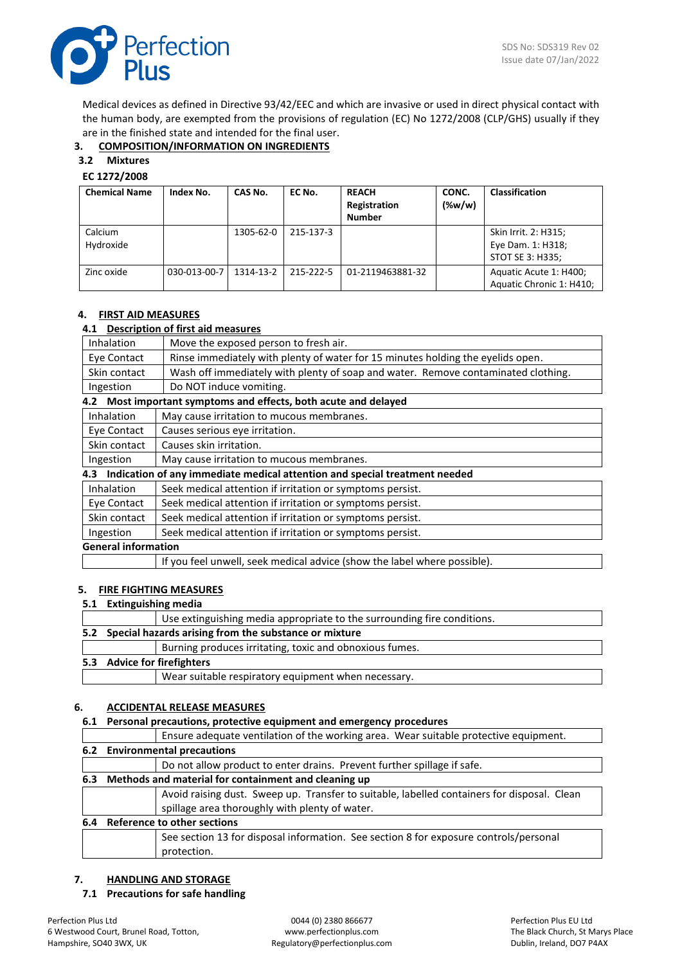

Medical devices as defined in Directive 93/42/EEC and which are invasive or used in direct physical contact with the human body, are exempted from the provisions of regulation (EC) No 1272/2008 (CLP/GHS) usually if they are in the finished state and intended for the final user.

## **3. COMPOSITION/INFORMATION ON INGREDIENTS**

## **3.2 Mixtures**

### **EC 1272/2008**

| <b>Chemical Name</b> | Index No.    | CAS No.   | EC No.    | <b>REACH</b><br>Registration<br><b>Number</b> | CONC.<br>$(\%w/w)$ | <b>Classification</b>                                         |
|----------------------|--------------|-----------|-----------|-----------------------------------------------|--------------------|---------------------------------------------------------------|
| Calcium<br>Hydroxide |              | 1305-62-0 | 215-137-3 |                                               |                    | Skin Irrit. 2: H315;<br>Eye Dam. 1: H318;<br>STOT SE 3: H335; |
| Zinc oxide           | 030-013-00-7 | 1314-13-2 | 215-222-5 | 01-2119463881-32                              |                    | Aquatic Acute 1: H400;<br>Aquatic Chronic 1: H410;            |

## **4. FIRST AID MEASURES**

## **4.1 Description of first aid measures**

| Inhalation                                                      | Move the exposed person to fresh air.                                             |  |
|-----------------------------------------------------------------|-----------------------------------------------------------------------------------|--|
| Eye Contact                                                     | Rinse immediately with plenty of water for 15 minutes holding the eyelids open.   |  |
| Skin contact                                                    | Wash off immediately with plenty of soap and water. Remove contaminated clothing. |  |
|                                                                 | Do NOT induce vomiting.                                                           |  |
| Ingestion                                                       |                                                                                   |  |
| 4.2 Most important symptoms and effects, both acute and delayed |                                                                                   |  |
| Inhalation                                                      | May cause irritation to mucous membranes.                                         |  |

| Eye Contact $\vert$ Causes serious eye irritation. |
|----------------------------------------------------|

Skin contact | Causes skin irritation.

Ingestion May cause irritation to mucous membranes.

| 4.3 Indication of any immediate medical attention and special treatment needed |                                                           |  |  |  |
|--------------------------------------------------------------------------------|-----------------------------------------------------------|--|--|--|
| <b>Inhalation</b>                                                              | Seek medical attention if irritation or symptoms persist. |  |  |  |
| Eye Contact                                                                    | Seek medical attention if irritation or symptoms persist. |  |  |  |
| Skin contact                                                                   | Seek medical attention if irritation or symptoms persist. |  |  |  |
| Ingestion                                                                      | Seek medical attention if irritation or symptoms persist. |  |  |  |
| <b>General information</b>                                                     |                                                           |  |  |  |
| If you feel unwell, seek medical advice (show the label where possible).       |                                                           |  |  |  |

### **5. FIRE FIGHTING MEASURES**

### **5.1 Extinguishing media**

|  | Use extinguishing media appropriate to the surrounding fire conditions. |
|--|-------------------------------------------------------------------------|
|  | 5.2 Special hazards arising from the substance or mixture               |
|  | Burning produces irritating, toxic and obnoxious fumes.                 |
|  | 5.3 Advice for firefighters                                             |
|  | Wear suitable respiratory equipment when necessary.                     |

## **6. ACCIDENTAL RELEASE MEASURES**

## **6.1 Personal precautions, protective equipment and emergency procedures**

|     | Ensure adequate ventilation of the working area. Wear suitable protective equipment.        |  |  |  |  |
|-----|---------------------------------------------------------------------------------------------|--|--|--|--|
|     | 6.2 Environmental precautions                                                               |  |  |  |  |
|     | Do not allow product to enter drains. Prevent further spillage if safe.                     |  |  |  |  |
| 6.3 | Methods and material for containment and cleaning up                                        |  |  |  |  |
|     | Avoid raising dust. Sweep up. Transfer to suitable, labelled containers for disposal. Clean |  |  |  |  |
|     | spillage area thoroughly with plenty of water.                                              |  |  |  |  |
| 6.4 | <b>Reference to other sections</b>                                                          |  |  |  |  |
|     | See section 13 for disposal information. See section 8 for exposure controls/personal       |  |  |  |  |
|     | protection.                                                                                 |  |  |  |  |

## **7. HANDLING AND STORAGE**

## **7.1 Precautions for safe handling**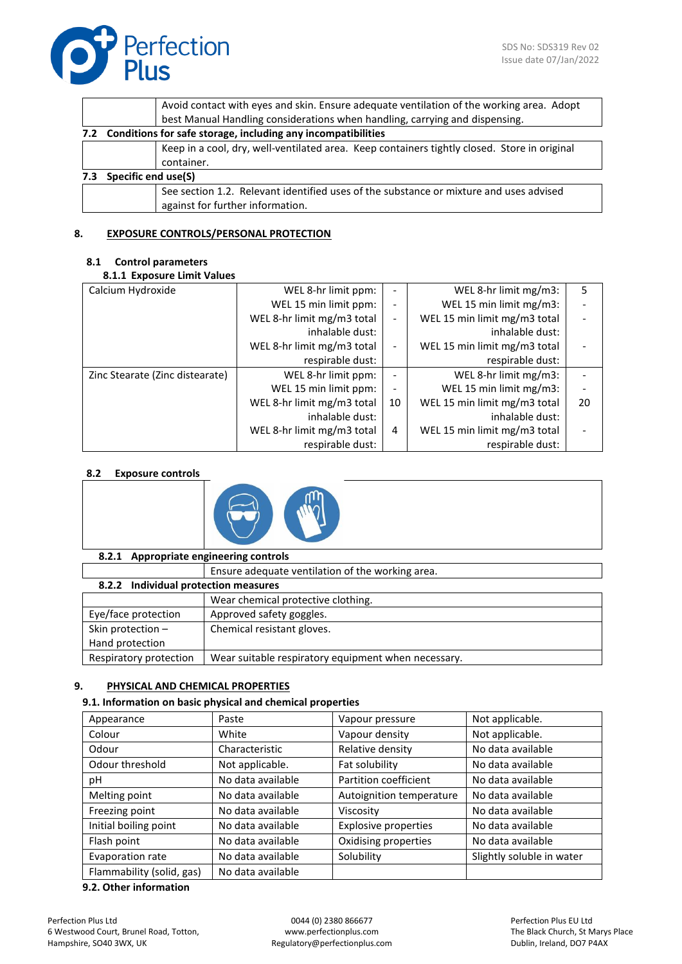

| Avoid contact with eyes and skin. Ensure adequate ventilation of the working area. Adopt     |  |  |  |  |
|----------------------------------------------------------------------------------------------|--|--|--|--|
| best Manual Handling considerations when handling, carrying and dispensing.                  |  |  |  |  |
| 7.2 Conditions for safe storage, including any incompatibilities                             |  |  |  |  |
| Keep in a cool, dry, well-ventilated area. Keep containers tightly closed. Store in original |  |  |  |  |
|                                                                                              |  |  |  |  |
| Specific end use(S)<br>7.3                                                                   |  |  |  |  |
| See section 1.2. Relevant identified uses of the substance or mixture and uses advised       |  |  |  |  |
|                                                                                              |  |  |  |  |

## **8. EXPOSURE CONTROLS/PERSONAL PROTECTION**

## **8.1 Control parameters**

### **8.1.1 Exposure Limit Values**

| Calcium Hydroxide               | WEL 8-hr limit ppm:        |                              | WEL 8-hr limit $mg/m3$ :     | 5  |
|---------------------------------|----------------------------|------------------------------|------------------------------|----|
|                                 | WEL 15 min limit ppm:      |                              | WEL 15 min limit mg/m3:      |    |
|                                 | WEL 8-hr limit mg/m3 total |                              | WEL 15 min limit mg/m3 total |    |
|                                 | inhalable dust:            |                              | inhalable dust:              |    |
|                                 | WEL 8-hr limit mg/m3 total | $\qquad \qquad \blacksquare$ | WEL 15 min limit mg/m3 total |    |
|                                 | respirable dust:           |                              | respirable dust:             |    |
| Zinc Stearate (Zinc distearate) | WEL 8-hr limit ppm:        | $\overline{\phantom{a}}$     | WEL 8-hr limit mg/m3:        |    |
|                                 | WEL 15 min limit ppm:      |                              | WEL 15 min limit mg/m3:      |    |
|                                 | WEL 8-hr limit mg/m3 total | 10                           | WEL 15 min limit mg/m3 total | 20 |
|                                 | inhalable dust:            |                              | inhalable dust:              |    |
|                                 | WEL 8-hr limit mg/m3 total | 4                            | WEL 15 min limit mg/m3 total |    |
|                                 | respirable dust:           |                              | respirable dust:             |    |

## **8.2 Exposure controls**



## **8.2.1 Appropriate engineering controls**

|                        | Ensure adequate ventilation of the working area.    |  |  |  |  |
|------------------------|-----------------------------------------------------|--|--|--|--|
|                        | 8.2.2 Individual protection measures                |  |  |  |  |
|                        | Wear chemical protective clothing.                  |  |  |  |  |
| Eye/face protection    | Approved safety goggles.                            |  |  |  |  |
| Skin protection -      | Chemical resistant gloves.                          |  |  |  |  |
| Hand protection        |                                                     |  |  |  |  |
| Respiratory protection | Wear suitable respiratory equipment when necessary. |  |  |  |  |
|                        |                                                     |  |  |  |  |

## **9. PHYSICAL AND CHEMICAL PROPERTIES**

### **9.1. Information on basic physical and chemical properties**

| Appearance                | Paste             | Vapour pressure             | Not applicable.           |
|---------------------------|-------------------|-----------------------------|---------------------------|
| Colour                    | White             | Vapour density              | Not applicable.           |
| Odour                     | Characteristic    | Relative density            | No data available         |
| Odour threshold           | Not applicable.   | Fat solubility              | No data available         |
| рH                        | No data available | Partition coefficient       | No data available         |
| Melting point             | No data available | Autoignition temperature    | No data available         |
| Freezing point            | No data available | Viscosity                   | No data available         |
| Initial boiling point     | No data available | <b>Explosive properties</b> | No data available         |
| Flash point               | No data available | Oxidising properties        | No data available         |
| Evaporation rate          | No data available | Solubility                  | Slightly soluble in water |
| Flammability (solid, gas) | No data available |                             |                           |

## **9.2. Other information**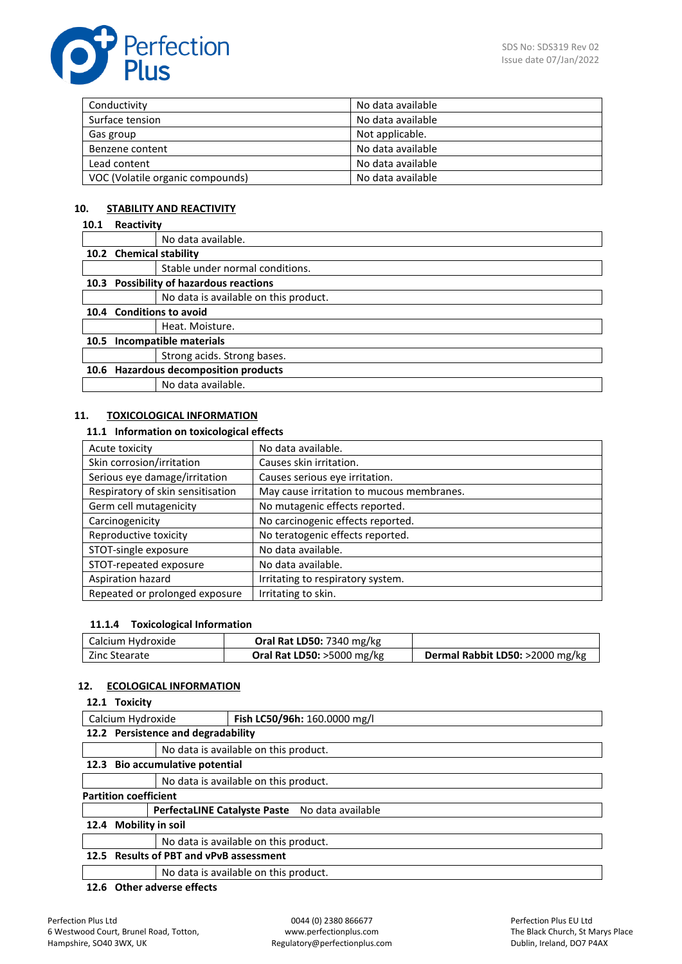

| Conductivity                     | No data available |
|----------------------------------|-------------------|
| Surface tension                  | No data available |
| Gas group                        | Not applicable.   |
| Benzene content                  | No data available |
| Lead content                     | No data available |
| VOC (Volatile organic compounds) | No data available |

## **10. STABILITY AND REACTIVITY**

### **10.1 Reactivity**

|      |                                       | No data available.                      |  |
|------|---------------------------------------|-----------------------------------------|--|
|      | 10.2 Chemical stability               |                                         |  |
|      |                                       | Stable under normal conditions.         |  |
|      |                                       | 10.3 Possibility of hazardous reactions |  |
|      |                                       | No data is available on this product.   |  |
|      | 10.4 Conditions to avoid              |                                         |  |
|      |                                       | Heat. Moisture.                         |  |
| 10.5 | Incompatible materials                |                                         |  |
|      |                                       | Strong acids. Strong bases.             |  |
|      | 10.6 Hazardous decomposition products |                                         |  |
|      |                                       | No data available.                      |  |

## **11. TOXICOLOGICAL INFORMATION**

## **11.1 Information on toxicological effects**

| No data available.                        |
|-------------------------------------------|
| Causes skin irritation.                   |
| Causes serious eye irritation.            |
| May cause irritation to mucous membranes. |
| No mutagenic effects reported.            |
| No carcinogenic effects reported.         |
| No teratogenic effects reported.          |
| No data available.                        |
| No data available.                        |
| Irritating to respiratory system.         |
| Irritating to skin.                       |
|                                           |

## **11.1.4 Toxicological Information**

| Calcium Hydroxide | <b>Oral Rat LD50: 7340 mg/kg</b>     |                                 |
|-------------------|--------------------------------------|---------------------------------|
| Zinc Stearate     | <b>Oral Rat LD50: &gt;5000 mg/kg</b> | Dermal Rabbit LD50: >2000 mg/kg |

## **12. ECOLOGICAL INFORMATION**

## **12.1 Toxicity**

| Fish LC50/96h: 160.0000 mg/l<br>Calcium Hydroxide |                                       |                                                |  |
|---------------------------------------------------|---------------------------------------|------------------------------------------------|--|
| 12.2 Persistence and degradability                |                                       |                                                |  |
|                                                   | No data is available on this product. |                                                |  |
| 12.3 Bio accumulative potential                   |                                       |                                                |  |
|                                                   | No data is available on this product. |                                                |  |
| <b>Partition coefficient</b>                      |                                       |                                                |  |
|                                                   |                                       | PerfectaLINE Catalyste Paste No data available |  |
| 12.4 Mobility in soil                             |                                       |                                                |  |
|                                                   |                                       | No data is available on this product.          |  |
| 12.5 Results of PBT and vPvB assessment           |                                       |                                                |  |
|                                                   |                                       | No data is available on this product.          |  |
|                                                   |                                       |                                                |  |

**12.6 Other adverse effects**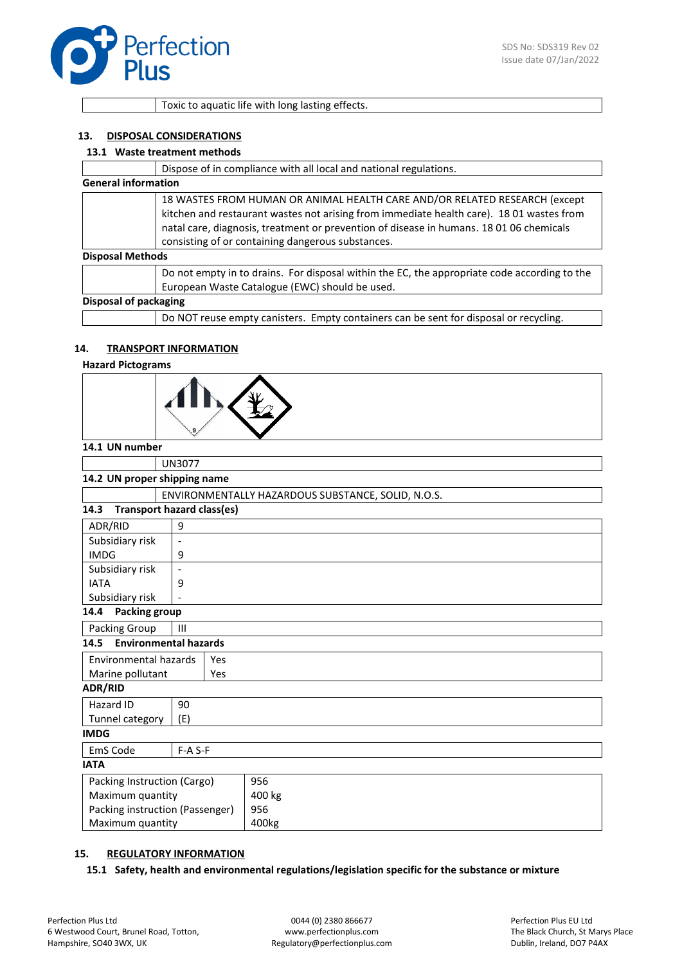

Toxic to aquatic life with long lasting effects.

### **13. DISPOSAL CONSIDERATIONS**

#### **13.1 Waste treatment methods**

|                            | Dispose of in compliance with all local and national regulations.                                                                                                                                                                                                                                                      |
|----------------------------|------------------------------------------------------------------------------------------------------------------------------------------------------------------------------------------------------------------------------------------------------------------------------------------------------------------------|
| <b>General information</b> |                                                                                                                                                                                                                                                                                                                        |
|                            | 18 WASTES FROM HUMAN OR ANIMAL HEALTH CARE AND/OR RELATED RESEARCH (except<br>kitchen and restaurant wastes not arising from immediate health care). 18 01 wastes from<br>natal care, diagnosis, treatment or prevention of disease in humans. 18 01 06 chemicals<br>consisting of or containing dangerous substances. |
| <b>Disposal Methods</b>    |                                                                                                                                                                                                                                                                                                                        |
|                            | Do not empty in to drains. For disposal within the EC, the appropriate code according to the<br>European Waste Catalogue (EWC) should be used.                                                                                                                                                                         |
| Disposal of packaging      |                                                                                                                                                                                                                                                                                                                        |
|                            | Do NOT reuse empty canisters. Empty containers can be sent for disposal or recycling.                                                                                                                                                                                                                                  |

### **14. TRANSPORT INFORMATION**

### **Hazard Pictograms**

| L |  |
|---|--|
|   |  |

#### **14.1 UN number**

|                                           | <b>UN3077</b>                                      |           |        |
|-------------------------------------------|----------------------------------------------------|-----------|--------|
| 14.2 UN proper shipping name              |                                                    |           |        |
|                                           | ENVIRONMENTALLY HAZARDOUS SUBSTANCE, SOLID, N.O.S. |           |        |
| <b>Transport hazard class(es)</b><br>14.3 |                                                    |           |        |
| ADR/RID                                   | 9                                                  |           |        |
| Subsidiary risk                           | $\overline{\phantom{a}}$                           |           |        |
| <b>IMDG</b>                               | 9                                                  |           |        |
| Subsidiary risk                           | $\overline{\phantom{a}}$                           |           |        |
| <b>IATA</b>                               | 9                                                  |           |        |
| Subsidiary risk                           |                                                    |           |        |
| <b>Packing group</b><br>14.4              |                                                    |           |        |
| Packing Group<br>$\mathbf{III}$           |                                                    |           |        |
| <b>Environmental hazards</b><br>14.5      |                                                    |           |        |
| Environmental hazards                     |                                                    | Yes       |        |
| Marine pollutant<br>Yes                   |                                                    |           |        |
| <b>ADR/RID</b>                            |                                                    |           |        |
| Hazard ID                                 | 90                                                 |           |        |
| Tunnel category                           | (E)                                                |           |        |
| <b>IMDG</b>                               |                                                    |           |        |
| EmS Code                                  |                                                    | $F-A S-F$ |        |
| <b>IATA</b>                               |                                                    |           |        |
| Packing Instruction (Cargo)               |                                                    |           | 956    |
|                                           | Maximum quantity                                   |           | 400 kg |
| Packing instruction (Passenger)           |                                                    |           | 956    |
| Maximum quantity                          |                                                    |           | 400kg  |

### **15. REGULATORY INFORMATION**

**15.1 Safety, health and environmental regulations/legislation specific for the substance or mixture**